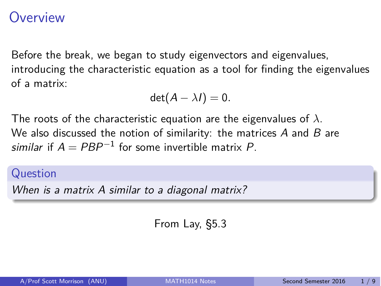### <span id="page-0-0"></span>**Overview**

Before the break, we began to study eigenvectors and eigenvalues, introducing the characteristic equation as a tool for finding the eigenvalues of a matrix:

$$
\det(A-\lambda I)=0.
$$

The roots of the characteristic equation are the eigenvalues of *⁄*. We also discussed the notion of similarity: the matrices *A* and *B* are *similar* if  $A = PBP^{-1}$  for some invertible matrix P.

#### Question

*When is a matrix A similar to a diagonal matrix?*

From Lay, §5.3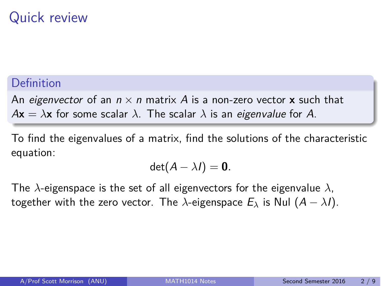# Quick review

### Definition

An *eigenvector* of an  $n \times n$  matrix A is a non-zero vector **x** such that  $A$ **x** =  $\lambda$ **x** for some scalar  $\lambda$ . The scalar  $\lambda$  is an *eigenvalue* for A.

To find the eigenvalues of a matrix, find the solutions of the characteristic equation:

$$
\det(A-\lambda I)=\mathbf{0}.
$$

The  $\lambda$ -eigenspace is the set of all eigenvectors for the eigenvalue  $\lambda$ , together with the zero vector. The  $\lambda$ -eigenspace  $E_{\lambda}$  is Nul  $(A - \lambda I)$ .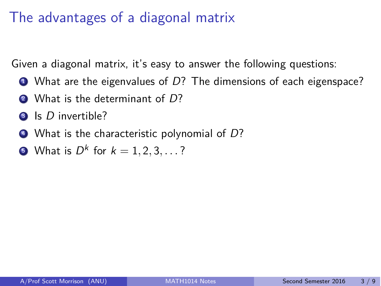# The advantages of a diagonal matrix

Given a diagonal matrix, it's easy to answer the following questions:

- **1** What are the eigenvalues of D? The dimensions of each eigenspace?
- <sup>2</sup> What is the determinant of *D*?
- <sup>3</sup> Is *D* invertible?
- <sup>4</sup> What is the characteristic polynomial of *D*?
- **6** What is  $D^k$  for  $k = 1, 2, 3, ...$ ?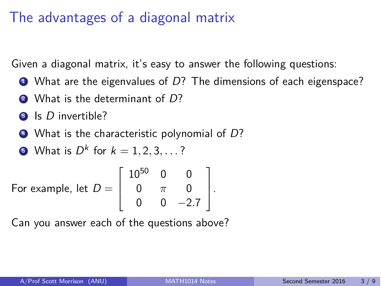# The advantages of a diagonal matrix

Given a diagonal matrix, it's easy to answer the following questions:

- **1** What are the eigenvalues of D? The dimensions of each eigenspace?
- <sup>2</sup> What is the determinant of *D*?
- <sup>3</sup> Is *D* invertible?
- <sup>4</sup> What is the characteristic polynomial of *D*?

• What is 
$$
D^k
$$
 for  $k = 1, 2, 3, ...$ ?

For example, let 
$$
D = \begin{bmatrix} 10^{50} & 0 & 0 \\ 0 & \pi & 0 \\ 0 & 0 & -2.7 \end{bmatrix}
$$
.

Can you answer each of the questions above?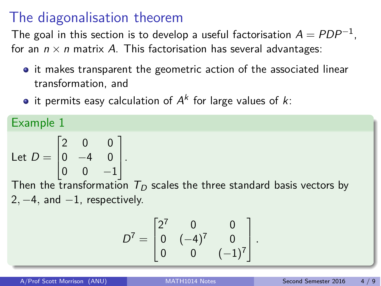### The diagonalisation theorem

The goal in this section is to develop a useful factorisation  $A = PDP^{-1}$ , for an  $n \times n$  matrix A. This factorisation has several advantages:

- it makes transparent the geometric action of the associated linear transformation, and
- it permits easy calculation of  $A^k$  for large values of  $k$ :

Example 1

Let 
$$
D = \begin{bmatrix} 2 & 0 & 0 \\ 0 & -4 & 0 \\ 0 & 0 & -1 \end{bmatrix}
$$
.

Then the transformation  $\tau_{\scriptscriptstyle D}$  scales the three standard basis vectors by  $2, -4$ , and  $-1$ , respectively.

$$
D^{7} = \begin{bmatrix} 2^{7} & 0 & 0 \\ 0 & (-4)^{7} & 0 \\ 0 & 0 & (-1)^{7} \end{bmatrix}.
$$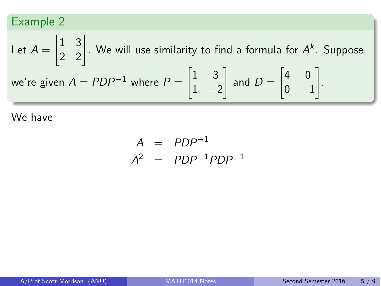Let 
$$
A = \begin{bmatrix} 1 & 3 \\ 2 & 2 \end{bmatrix}
$$
. We will use similarity to find a formula for  $A^k$ . Suppose  
we're given  $A = PDP^{-1}$  where  $P = \begin{bmatrix} 1 & 3 \\ 1 & -2 \end{bmatrix}$  and  $D = \begin{bmatrix} 4 & 0 \\ 0 & -1 \end{bmatrix}$ .

$$
A = PDP^{-1}
$$
  

$$
A^2 = PDP^{-1}PDP^{-1}
$$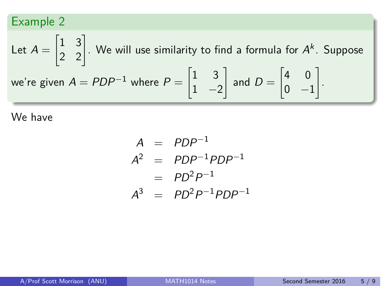Let 
$$
A = \begin{bmatrix} 1 & 3 \\ 2 & 2 \end{bmatrix}
$$
. We will use similarity to find a formula for  $A^k$ . Suppose  
we're given  $A = PDP^{-1}$  where  $P = \begin{bmatrix} 1 & 3 \\ 1 & -2 \end{bmatrix}$  and  $D = \begin{bmatrix} 4 & 0 \\ 0 & -1 \end{bmatrix}$ .

$$
A = PDP^{-1}
$$
  
\n
$$
A^2 = PDP^{-1}PDP^{-1}
$$
  
\n
$$
= PD^2P^{-1}
$$
  
\n
$$
A^3 = PD^2P^{-1}PDP^{-1}
$$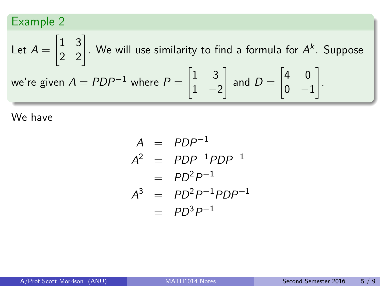Let 
$$
A = \begin{bmatrix} 1 & 3 \\ 2 & 2 \end{bmatrix}
$$
. We will use similarity to find a formula for  $A^k$ . Suppose  
we're given  $A = PDP^{-1}$  where  $P = \begin{bmatrix} 1 & 3 \\ 1 & -2 \end{bmatrix}$  and  $D = \begin{bmatrix} 4 & 0 \\ 0 & -1 \end{bmatrix}$ .

$$
A = PDP^{-1}
$$
  
\n
$$
A^2 = PDP^{-1}PDP^{-1}
$$
  
\n
$$
= PD^2P^{-1}
$$
  
\n
$$
A^3 = PD^2P^{-1}PDP^{-1}
$$
  
\n
$$
= PD^3P^{-1}
$$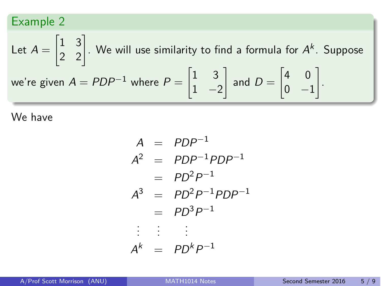Let 
$$
A = \begin{bmatrix} 1 & 3 \\ 2 & 2 \end{bmatrix}
$$
. We will use similarity to find a formula for  $A^k$ . Suppose  
we're given  $A = PDP^{-1}$  where  $P = \begin{bmatrix} 1 & 3 \\ 1 & -2 \end{bmatrix}$  and  $D = \begin{bmatrix} 4 & 0 \\ 0 & -1 \end{bmatrix}$ .

$$
A = PDP^{-1}
$$
  
\n
$$
A^{2} = PDP^{-1}PDP^{-1}
$$
  
\n
$$
= PD^{2}P^{-1}
$$
  
\n
$$
A^{3} = PD^{2}P^{-1}PDP^{-1}
$$
  
\n
$$
= PD^{3}P^{-1}
$$
  
\n
$$
\vdots \qquad \vdots
$$
  
\n
$$
A^{k} = PD^{k}P^{-1}
$$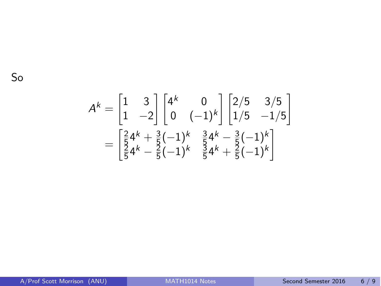$$
A^{k} = \begin{bmatrix} 1 & 3 \\ 1 & -2 \end{bmatrix} \begin{bmatrix} 4^{k} & 0 \\ 0 & (-1)^{k} \end{bmatrix} \begin{bmatrix} 2/5 & 3/5 \\ 1/5 & -1/5 \end{bmatrix}
$$

$$
= \begin{bmatrix} \frac{2}{5}4^{k} + \frac{3}{5}(-1)^{k} & \frac{3}{5}4^{k} - \frac{3}{5}(-1)^{k} \\ \frac{2}{5}4^{k} - \frac{2}{5}(-1)^{k} & \frac{3}{5}4^{k} + \frac{2}{5}(-1)^{k} \end{bmatrix}
$$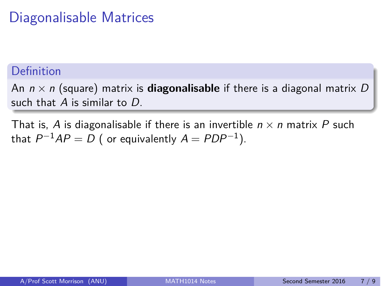# Diagonalisable Matrices

### Definition

An  $n \times n$  (square) matrix is **diagonalisable** if there is a diagonal matrix D such that *A* is similar to *D*.

That is, A is diagonalisable if there is an invertible  $n \times n$  matrix P such that  $P^{-1}AP = D$  ( or equivalently  $A = PDP^{-1}$ ).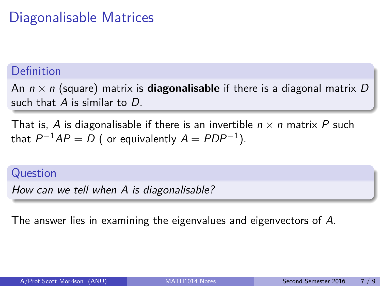# Diagonalisable Matrices

### Definition

An  $n \times n$  (square) matrix is **diagonalisable** if there is a diagonal matrix D such that *A* is similar to *D*.

That is, A is diagonalisable if there is an invertible  $n \times n$  matrix P such that  $P^{-1}AP = D$  ( or equivalently  $A = PDP^{-1}$ ).

### Question

*How can we tell when A is diagonalisable?*

The answer lies in examining the eigenvalues and eigenvectors of *A*.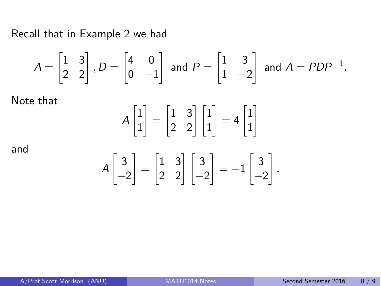Recall that in Example 2 we had

$$
A = \begin{bmatrix} 1 & 3 \\ 2 & 2 \end{bmatrix}, D = \begin{bmatrix} 4 & 0 \\ 0 & -1 \end{bmatrix} \text{ and } P = \begin{bmatrix} 1 & 3 \\ 1 & -2 \end{bmatrix} \text{ and } A = PDP^{-1}.
$$

Note that

$$
A\begin{bmatrix} 1 \\ 1 \end{bmatrix} = \begin{bmatrix} 1 & 3 \\ 2 & 2 \end{bmatrix} \begin{bmatrix} 1 \\ 1 \end{bmatrix} = 4 \begin{bmatrix} 1 \\ 1 \end{bmatrix}
$$

and

$$
A\begin{bmatrix} 3 \\ -2 \end{bmatrix} = \begin{bmatrix} 1 & 3 \\ 2 & 2 \end{bmatrix} \begin{bmatrix} 3 \\ -2 \end{bmatrix} = -1 \begin{bmatrix} 3 \\ -2 \end{bmatrix}.
$$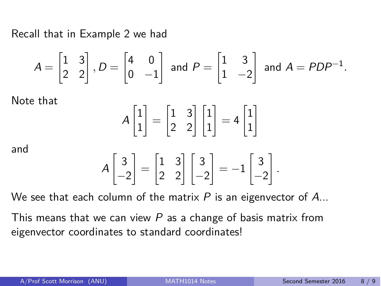Recall that in Example 2 we had

$$
A = \begin{bmatrix} 1 & 3 \\ 2 & 2 \end{bmatrix}, D = \begin{bmatrix} 4 & 0 \\ 0 & -1 \end{bmatrix} \text{ and } P = \begin{bmatrix} 1 & 3 \\ 1 & -2 \end{bmatrix} \text{ and } A = PDP^{-1}.
$$

Note that

$$
A\begin{bmatrix} 1 \\ 1 \end{bmatrix} = \begin{bmatrix} 1 & 3 \\ 2 & 2 \end{bmatrix} \begin{bmatrix} 1 \\ 1 \end{bmatrix} = 4 \begin{bmatrix} 1 \\ 1 \end{bmatrix}
$$

and

$$
A\begin{bmatrix} 3 \\ -2 \end{bmatrix} = \begin{bmatrix} 1 & 3 \\ 2 & 2 \end{bmatrix} \begin{bmatrix} 3 \\ -2 \end{bmatrix} = -1 \begin{bmatrix} 3 \\ -2 \end{bmatrix}.
$$

We see that each column of the matrix *P* is an eigenvector of *A*...

This means that we can view *P* as a change of basis matrix from eigenvector coordinates to standard coordinates!